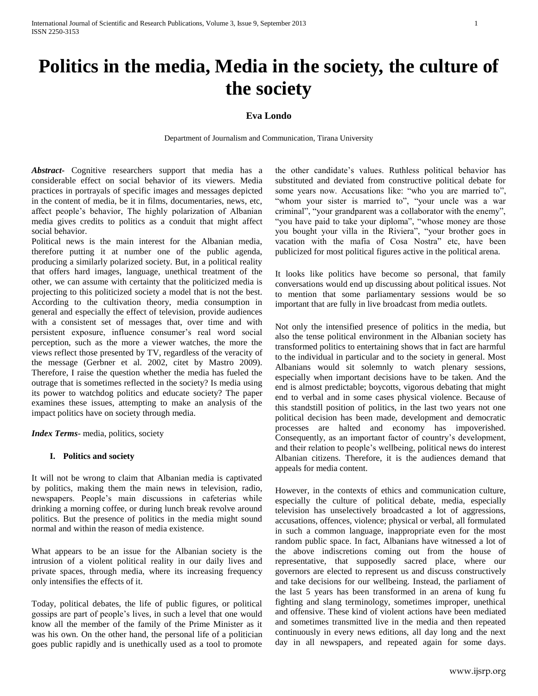# **Politics in the media, Media in the society, the culture of the society**

# **Eva Londo**

Department of Journalism and Communication, Tirana University

*Abstract***-** Cognitive researchers support that media has a considerable effect on social behavior of its viewers. Media practices in portrayals of specific images and messages depicted in the content of media, be it in films, documentaries, news, etc, affect people's behavior, The highly polarization of Albanian media gives credits to politics as a conduit that might affect social behavior.

Political news is the main interest for the Albanian media, therefore putting it at number one of the public agenda, producing a similarly polarized society. But, in a political reality that offers hard images, language, unethical treatment of the other, we can assume with certainty that the politicized media is projecting to this politicized society a model that is not the best. According to the cultivation theory, media consumption in general and especially the effect of television, provide audiences with a consistent set of messages that, over time and with persistent exposure, influence consumer's real word social perception, such as the more a viewer watches, the more the views reflect those presented by TV, regardless of the veracity of the message (Gerbner et al. 2002, citet by Mastro 2009). Therefore, I raise the question whether the media has fueled the outrage that is sometimes reflected in the society? Is media using its power to watchdog politics and educate society? The paper examines these issues, attempting to make an analysis of the impact politics have on society through media.

*Index Terms*- media, politics, society

# **I. Politics and society**

It will not be wrong to claim that Albanian media is captivated by politics, making them the main news in television, radio, newspapers. People's main discussions in cafeterias while drinking a morning coffee, or during lunch break revolve around politics. But the presence of politics in the media might sound normal and within the reason of media existence.

What appears to be an issue for the Albanian society is the intrusion of a violent political reality in our daily lives and private spaces, through media, where its increasing frequency only intensifies the effects of it.

Today, political debates, the life of public figures, or political gossips are part of people's lives, in such a level that one would know all the member of the family of the Prime Minister as it was his own. On the other hand, the personal life of a politician goes public rapidly and is unethically used as a tool to promote

the other candidate's values. Ruthless political behavior has substituted and deviated from constructive political debate for some years now. Accusations like: "who you are married to", "whom your sister is married to", "your uncle was a war criminal", "your grandparent was a collaborator with the enemy", "you have paid to take your diploma", "whose money are those you bought your villa in the Riviera", "your brother goes in vacation with the mafia of Cosa Nostra" etc, have been publicized for most political figures active in the political arena.

It looks like politics have become so personal, that family conversations would end up discussing about political issues. Not to mention that some parliamentary sessions would be so important that are fully in live broadcast from media outlets.

Not only the intensified presence of politics in the media, but also the tense political environment in the Albanian society has transformed politics to entertaining shows that in fact are harmful to the individual in particular and to the society in general. Most Albanians would sit solemnly to watch plenary sessions, especially when important decisions have to be taken. And the end is almost predictable; boycotts, vigorous debating that might end to verbal and in some cases physical violence. Because of this standstill position of politics, in the last two years not one political decision has been made, development and democratic processes are halted and economy has impoverished. Consequently, as an important factor of country's development, and their relation to people's wellbeing, political news do interest Albanian citizens. Therefore, it is the audiences demand that appeals for media content.

However, in the contexts of ethics and communication culture, especially the culture of political debate, media, especially television has unselectively broadcasted a lot of aggressions, accusations, offences, violence; physical or verbal, all formulated in such a common language, inappropriate even for the most random public space. In fact, Albanians have witnessed a lot of the above indiscretions coming out from the house of representative, that supposedly sacred place, where our governors are elected to represent us and discuss constructively and take decisions for our wellbeing. Instead, the parliament of the last 5 years has been transformed in an arena of kung fu fighting and slang terminology, sometimes improper, unethical and offensive. These kind of violent actions have been mediated and sometimes transmitted live in the media and then repeated continuously in every news editions, all day long and the next day in all newspapers, and repeated again for some days.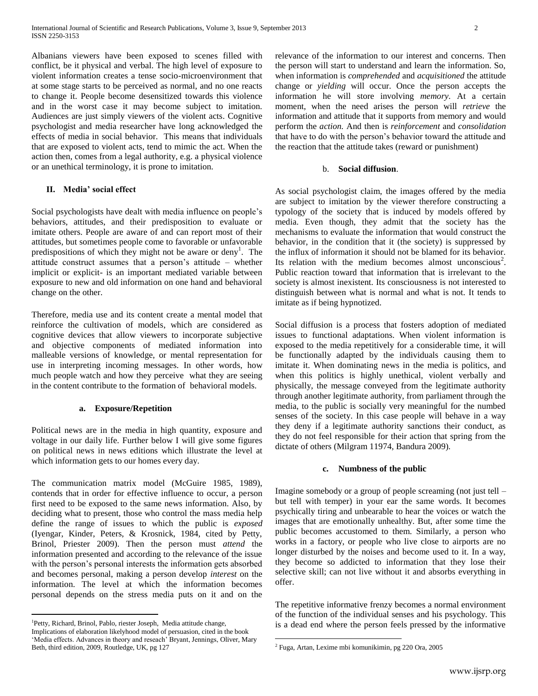Albanians viewers have been exposed to scenes filled with conflict, be it physical and verbal. The high level of exposure to violent information creates a tense socio-microenvironment that at some stage starts to be perceived as normal, and no one reacts to change it. People become desensitized towards this violence and in the worst case it may become subject to imitation. Audiences are just simply viewers of the violent acts. Cognitive psychologist and media researcher have long acknowledged the effects of media in social behavior. This means that individuals that are exposed to violent acts, tend to mimic the act. When the action then, comes from a legal authority, e.g. a physical violence or an unethical terminology, it is prone to imitation.

# **II. Media' social effect**

Social psychologists have dealt with media influence on people's behaviors, attitudes, and their predisposition to evaluate or imitate others. People are aware of and can report most of their attitudes, but sometimes people come to favorable or unfavorable predispositions of which they might not be aware or deny<sup>1</sup>. The attitude construct assumes that a person's attitude – whether implicit or explicit- is an important mediated variable between exposure to new and old information on one hand and behavioral change on the other.

Therefore, media use and its content create a mental model that reinforce the cultivation of models, which are considered as cognitive devices that allow viewers to incorporate subjective and objective components of mediated information into malleable versions of knowledge, or mental representation for use in interpreting incoming messages. In other words, how much people watch and how they perceive what they are seeing in the content contribute to the formation of behavioral models.

## **a. Exposure/Repetition**

Political news are in the media in high quantity, exposure and voltage in our daily life. Further below I will give some figures on political news in news editions which illustrate the level at which information gets to our homes every day.

The communication matrix model (McGuire 1985, 1989), contends that in order for effective influence to occur, a person first need to be exposed to the same news information. Also, by deciding what to present, those who control the mass media help define the range of issues to which the public is *exposed* (Iyengar, Kinder, Peters, & Krosnick, 1984, cited by Petty, Brinol, Priester 2009). Then the person must *attend* the information presented and according to the relevance of the issue with the person's personal interests the information gets absorbed and becomes personal, making a person develop *interest* on the information. The level at which the information becomes personal depends on the stress media puts on it and on the

 $\overline{a}$ 

relevance of the information to our interest and concerns. Then the person will start to understand and learn the information. So, when information is *comprehended* and *acquisitioned* the attitude change or *yielding* will occur. Once the person accepts the information he will store involving *memory*. At a certain moment, when the need arises the person will *retrieve* the information and attitude that it supports from memory and would perform the *action.* And then is *reinforcement* and *consolidation* that have to do with the person's behavior toward the attitude and the reaction that the attitude takes (reward or punishment)

#### b. **Social diffusion**.

As social psychologist claim, the images offered by the media are subject to imitation by the viewer therefore constructing a typology of the society that is induced by models offered by media. Even though, they admit that the society has the mechanisms to evaluate the information that would construct the behavior, in the condition that it (the society) is suppressed by the influx of information it should not be blamed for its behavior. Its relation with the medium becomes almost unconscious<sup>2</sup>. Public reaction toward that information that is irrelevant to the society is almost inexistent. Its consciousness is not interested to distinguish between what is normal and what is not. It tends to imitate as if being hypnotized.

Social diffusion is a process that fosters adoption of mediated issues to functional adaptations. When violent information is exposed to the media repetitively for a considerable time, it will be functionally adapted by the individuals causing them to imitate it. When dominating news in the media is politics, and when this politics is highly unethical, violent verbally and physically, the message conveyed from the legitimate authority through another legitimate authority, from parliament through the media, to the public is socially very meaningful for the numbed senses of the society. In this case people will behave in a way they deny if a legitimate authority sanctions their conduct, as they do not feel responsible for their action that spring from the dictate of others (Milgram 11974, Bandura 2009).

#### **c. Numbness of the public**

Imagine somebody or a group of people screaming (not just tell – but tell with temper) in your ear the same words. It becomes psychically tiring and unbearable to hear the voices or watch the images that are emotionally unhealthy. But, after some time the public becomes accustomed to them. Similarly, a person who works in a factory, or people who live close to airports are no longer disturbed by the noises and become used to it. In a way, they become so addicted to information that they lose their selective skill; can not live without it and absorbs everything in offer.

The repetitive informative frenzy becomes a normal environment of the function of the individual senses and his psychology. This is a dead end where the person feels pressed by the informative

 $\overline{a}$ 

<sup>&</sup>lt;sup>1</sup>Petty, Richard, Brinol, Pablo, riester Joseph, Media attitude change, Implications of elaboration likelyhood model of persuasion, cited in the book 'Media effects. Advances in theory and reseach' Bryant, Jennings, Oliver, Mary Beth, third edition, 2009, Routledge, UK, pg 127

<sup>2</sup> Fuga, Artan, Lexime mbi komunikimin, pg 220 Ora, 2005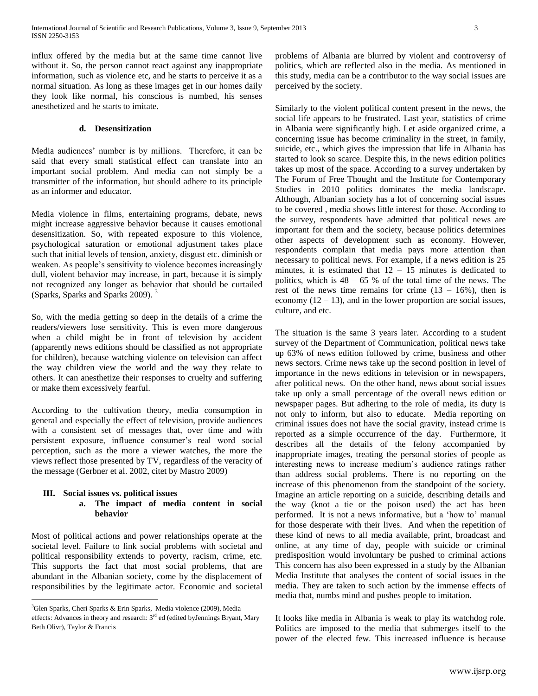influx offered by the media but at the same time cannot live without it. So, the person cannot react against any inappropriate information, such as violence etc, and he starts to perceive it as a normal situation. As long as these images get in our homes daily they look like normal, his conscious is numbed, his senses anesthetized and he starts to imitate.

#### **d. Desensitization**

Media audiences' number is by millions. Therefore, it can be said that every small statistical effect can translate into an important social problem. And media can not simply be a transmitter of the information, but should adhere to its principle as an informer and educator.

Media violence in films, entertaining programs, debate, news might increase aggressive behavior because it causes emotional desensitization. So, with repeated exposure to this violence, psychological saturation or emotional adjustment takes place such that initial levels of tension, anxiety, disgust etc. diminish or weaken. As people's sensitivity to violence becomes increasingly dull, violent behavior may increase, in part, because it is simply not recognized any longer as behavior that should be curtailed (Sparks, Sparks and Sparks 2009). <sup>3</sup>

So, with the media getting so deep in the details of a crime the readers/viewers lose sensitivity. This is even more dangerous when a child might be in front of television by accident (apparently news editions should be classified as not appropriate for children), because watching violence on television can affect the way children view the world and the way they relate to others. It can anesthetize their responses to cruelty and suffering or make them excessively fearful.

According to the cultivation theory, media consumption in general and especially the effect of television, provide audiences with a consistent set of messages that, over time and with persistent exposure, influence consumer's real word social perception, such as the more a viewer watches, the more the views reflect those presented by TV, regardless of the veracity of the message (Gerbner et al. 2002, citet by Mastro 2009)

#### **III. Social issues vs. political issues**

 $\overline{a}$ 

# **a. The impact of media content in social behavior**

Most of political actions and power relationships operate at the societal level. Failure to link social problems with societal and political responsibility extends to poverty, racism, crime, etc. This supports the fact that most social problems, that are abundant in the Albanian society, come by the displacement of responsibilities by the legitimate actor. Economic and societal problems of Albania are blurred by violent and controversy of politics, which are reflected also in the media. As mentioned in this study, media can be a contributor to the way social issues are perceived by the society.

Similarly to the violent political content present in the news, the social life appears to be frustrated. Last year, statistics of crime in Albania were significantly high. Let aside organized crime, a concerning issue has become criminality in the street, in family, suicide, etc., which gives the impression that life in Albania has started to look so scarce. Despite this, in the news edition politics takes up most of the space. According to a survey undertaken by The Forum of Free Thought and the Institute for Contemporary Studies in 2010 politics dominates the media landscape. Although, Albanian society has a lot of concerning social issues to be covered , media shows little interest for those. According to the survey, respondents have admitted that political news are important for them and the society, because politics determines other aspects of development such as economy. However, respondents complain that media pays more attention than necessary to political news. For example, if a news edition is 25 minutes, it is estimated that  $12 - 15$  minutes is dedicated to politics, which is  $48 - 65$  % of the total time of the news. The rest of the news time remains for crime  $(13 - 16%)$ , then is economy  $(12 – 13)$ , and in the lower proportion are social issues, culture, and etc.

The situation is the same 3 years later. According to a student survey of the Department of Communication, political news take up 63% of news edition followed by crime, business and other news sectors. Crime news take up the second position in level of importance in the news editions in television or in newspapers, after political news. On the other hand, news about social issues take up only a small percentage of the overall news edition or newspaper pages. But adhering to the role of media, its duty is not only to inform, but also to educate. Media reporting on criminal issues does not have the social gravity, instead crime is reported as a simple occurrence of the day. Furthermore, it describes all the details of the felony accompanied by inappropriate images, treating the personal stories of people as interesting news to increase medium's audience ratings rather than address social problems. There is no reporting on the increase of this phenomenon from the standpoint of the society. Imagine an article reporting on a suicide, describing details and the way (knot a tie or the poison used) the act has been performed. It is not a news informative, but a 'how to' manual for those desperate with their lives. And when the repetition of these kind of news to all media available, print, broadcast and online, at any time of day, people with suicide or criminal predisposition would involuntary be pushed to criminal actions This concern has also been expressed in a study by the Albanian Media Institute that analyses the content of social issues in the media. They are taken to such action by the immense effects of media that, numbs mind and pushes people to imitation.

It looks like media in Albania is weak to play its watchdog role. Politics are imposed to the media that submerges itself to the power of the elected few. This increased influence is because

<sup>&</sup>lt;sup>3</sup>Glen Sparks, Cheri Sparks & Erin Sparks, Media violence (2009), Media effects: Advances in theory and research: 3<sup>rd</sup> ed (edited byJennings Bryant, Mary [Beth Olivr\),](http://www.barnesandnoble.com/c/mary-beth-oliver) Taylor & Francis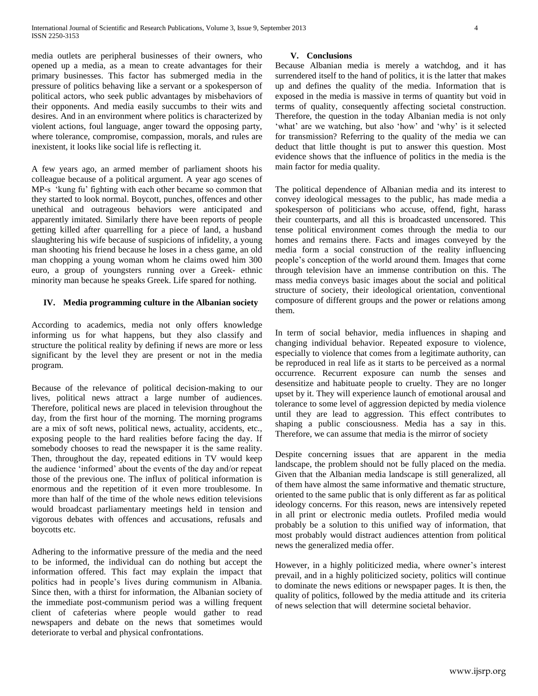media outlets are peripheral businesses of their owners, who opened up a media, as a mean to create advantages for their primary businesses. This factor has submerged media in the pressure of politics behaving like a servant or a spokesperson of political actors, who seek public advantages by misbehaviors of their opponents. And media easily succumbs to their wits and desires. And in an environment where politics is characterized by violent actions, foul language, anger toward the opposing party, where tolerance, compromise, compassion, morals, and rules are inexistent, it looks like social life is reflecting it.

A few years ago, an armed member of parliament shoots his colleague because of a political argument. A year ago scenes of MP-s 'kung fu' fighting with each other became so common that they started to look normal. Boycott, punches, offences and other unethical and outrageous behaviors were anticipated and apparently imitated. Similarly there have been reports of people getting killed after quarrelling for a piece of land, a husband slaughtering his wife because of suspicions of infidelity, a young man shooting his friend because he loses in a chess game, an old man chopping a young woman whom he claims owed him 300 euro, a group of youngsters running over a Greek- ethnic minority man because he speaks Greek. Life spared for nothing.

## **IV. Media programming culture in the Albanian society**

According to academics, media not only offers knowledge informing us for what happens, but they also classify and structure the political reality by defining if news are more or less significant by the level they are present or not in the media program.

Because of the relevance of political decision-making to our lives, political news attract a large number of audiences. Therefore, political news are placed in television throughout the day, from the first hour of the morning. The morning programs are a mix of soft news, political news, actuality, accidents, etc., exposing people to the hard realities before facing the day. If somebody chooses to read the newspaper it is the same reality. Then, throughout the day, repeated editions in TV would keep the audience 'informed' about the events of the day and/or repeat those of the previous one. The influx of political information is enormous and the repetition of it even more troublesome. In more than half of the time of the whole news edition televisions would broadcast parliamentary meetings held in tension and vigorous debates with offences and accusations, refusals and boycotts etc.

Adhering to the informative pressure of the media and the need to be informed, the individual can do nothing but accept the information offered. This fact may explain the impact that politics had in people's lives during communism in Albania. Since then, with a thirst for information, the Albanian society of the immediate post-communism period was a willing frequent client of cafeterias where people would gather to read newspapers and debate on the news that sometimes would deteriorate to verbal and physical confrontations.

#### **V. Conclusions**

Because Albanian media is merely a watchdog, and it has surrendered itself to the hand of politics, it is the latter that makes up and defines the quality of the media. Information that is exposed in the media is massive in terms of quantity but void in terms of quality, consequently affecting societal construction. Therefore, the question in the today Albanian media is not only 'what' are we watching, but also 'how' and 'why' is it selected for transmission? Referring to the quality of the media we can deduct that little thought is put to answer this question. Most evidence shows that the influence of politics in the media is the main factor for media quality.

The political dependence of Albanian media and its interest to convey ideological messages to the public, has made media a spokesperson of politicians who accuse, offend, fight, harass their counterparts, and all this is broadcasted uncensored. This tense political environment comes through the media to our homes and remains there. Facts and images conveyed by the media form a social construction of the reality influencing people's conception of the world around them. Images that come through television have an immense contribution on this. The mass media conveys basic images about the social and political structure of society, their ideological orientation, conventional composure of different groups and the power or relations among them.

In term of social behavior, media influences in shaping and changing individual behavior. Repeated exposure to violence, especially to violence that comes from a legitimate authority, can be reproduced in real life as it starts to be perceived as a normal occurrence. Recurrent exposure can numb the senses and desensitize and habituate people to cruelty. They are no longer upset by it. They will experience launch of emotional arousal and tolerance to some level of aggression depicted by media violence until they are lead to aggression. This effect contributes to shaping a public consciousness. Media has a say in this. Therefore, we can assume that media is the mirror of society

Despite concerning issues that are apparent in the media landscape, the problem should not be fully placed on the media. Given that the Albanian media landscape is still generalized, all of them have almost the same informative and thematic structure, oriented to the same public that is only different as far as political ideology concerns. For this reason, news are intensively repeted in all print or electronic media outlets. Profiled media would probably be a solution to this unified way of information, that most probably would distract audiences attention from political news the generalized media offer.

However, in a highly politicized media, where owner's interest prevail, and in a highly politicized society, politics will continue to dominate the news editions or newspaper pages. It is then, the quality of politics, followed by the media attitude and its criteria of news selection that will determine societal behavior.